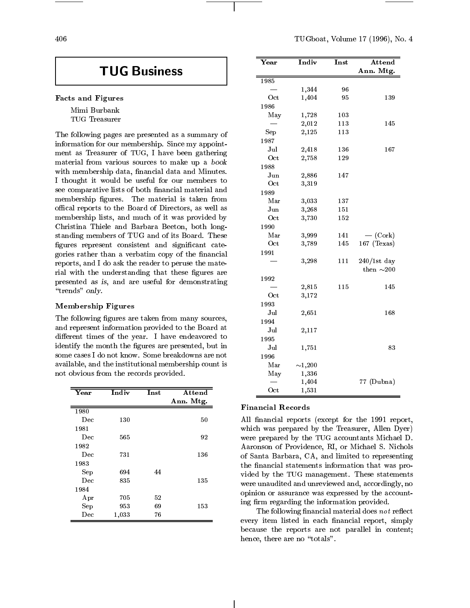406

# TUG Business

#### Facts and Figures

Mimi Burbank TUG Treasurer

The following pages are presented as a summary of information for our membership. Since my appointment as Treasurer of TUG, I have been gathering material from various sources to make up a book with membership data, financial data and Minutes. I thought it would be useful for our members to see comparative lists of both financial material and membership figures. The material is taken from offical reports to the Board of Directors, as well as membership lists, and much of it was provided by Christina Thiele and Barbara Beeton, both longstanding members of TUG and of its Board. These figures represent consistent and significant categories rather than a verbatim copy of the financial reports, and I do ask the reader to peruse the material with the understanding that these figures are presented as is, and are useful for demonstrating "trends" only.

#### Membership Figures

The following figures are taken from many sources, and represent information provided to the Board at different times of the year. I have endeavored to identify the month the figures are presented, but in some cases I do not know. Some breakdowns are not available, and the institutional membership count is not obvious from the records provided.

| Year | Indiv | Inst | Attend    |
|------|-------|------|-----------|
|      |       |      | Ann. Mtg. |
| 1980 |       |      |           |
| Dec  | 130   |      | 50        |
| 1981 |       |      |           |
| Dec  | 565   |      | 92        |
| 1982 |       |      |           |
| Dec  | 731   |      | 136       |
| 1983 |       |      |           |
| Sep  | 694   | 44   |           |
| Dec  | 835   |      | 135       |
| 1984 |       |      |           |
| Apr  | 705   | 52   |           |
| Sep  | 953   | 69   | 153       |
| Dec  | 1,033 | 76   |           |

| Year         | Indiv        | Inst | Attend          |
|--------------|--------------|------|-----------------|
|              |              |      | Ann. Mtg.       |
| 1985         |              |      |                 |
|              | 1,344        | 96   |                 |
| Oct          | 1,404        | 95   | 139             |
| 1986         |              |      |                 |
| May          | 1,728        | 103  |                 |
|              | 2,012        | 113  | 145             |
| $_{\rm Sep}$ | 2,125        | 113  |                 |
| 1987         |              |      |                 |
| Jul          | 2,418        | 136  | 167             |
| Oct          | 2,758        | 129  |                 |
| 1988         |              |      |                 |
| Jun          | 2,886        | 147  |                 |
| Oct          | 3,319        |      |                 |
| 1989         |              |      |                 |
| Mar          | 3,033        | 137  |                 |
| Jun          | 3,268        | 151  |                 |
| Oct          | 3,730        | 152  |                 |
| 1990         |              |      |                 |
| Mar          | 3,999        | 141  | $-$ (Cork)      |
| Oct          | 3,789        | 145  | $167$ (Texas)   |
| 1991         |              |      |                 |
|              | 3,298        | 111  | $240/1$ st day  |
|              |              |      | then $\sim$ 200 |
| 1992         |              |      |                 |
|              | 2,815        | 115  | 145             |
| Oct          | 3,172        |      |                 |
| 1993         |              |      |                 |
| Jul          | 2,651        |      | 168             |
| 1994         |              |      |                 |
| Jul          | 2,117        |      |                 |
| 1995         |              |      |                 |
| Jul          | 1,751        |      | 83              |
| 1996         |              |      |                 |
| Mar          | $\sim$ 1,200 |      |                 |
| May          | 1,336        |      |                 |
|              | 1,404        |      | 77 (Dubna)      |
| Oct          | 1,531        |      |                 |

#### Financial Records

All financial reports (except for the 1991 report, which was prepared by the Treasurer, Allen Dyer) were prepared by the TUG accountants Michael D. Aaronson of Providence, RI, or Michael S. Nichols of Santa Barbara, CA, and limited to representing the financial statements information that was provided by the TUG management. These statements were unaudited and unreviewed and, accordingly, no opinion or assurance was expressed by the accounting firm regarding the information provided.

The following financial material does not reflect every item listed in each financial report, simply because the reports are not parallel in content; hence, there are no "totals".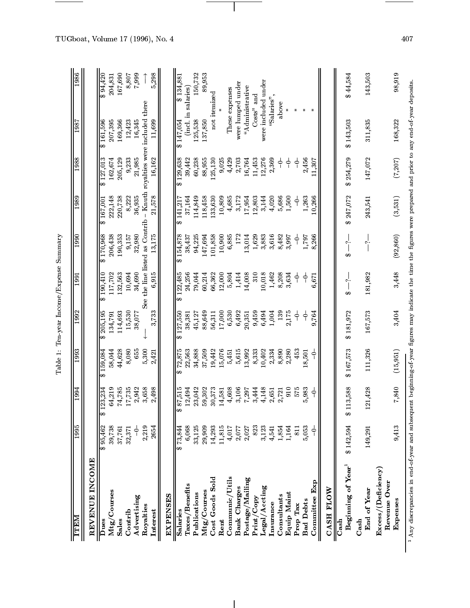| ļ                     |  |
|-----------------------|--|
| I<br>י<br>ו<br>ŗ      |  |
| TO OF DOMESTIC STORES |  |
| i                     |  |
| i<br>I                |  |
| 5<br>l                |  |

| NAJI                              | 1995                     | 1994         | 1993         | 1992             | 1991                           | 1990                       | 1989             | 1988               | 1987                                  | 1986      |
|-----------------------------------|--------------------------|--------------|--------------|------------------|--------------------------------|----------------------------|------------------|--------------------|---------------------------------------|-----------|
| INCOME<br><b>REVENUE</b>          |                          |              |              |                  |                                |                            |                  |                    |                                       |           |
| $\overline{\text{D}}$ ues         | \$95,462                 | 123,234<br>ക | 159,084<br>ക | \$205,195        | 190, 410<br>ക                  | 170,968<br>ക               | $00'101$ \$      | \$127,013          | \$161,596                             | \$94,420  |
| Mtg/Courses                       | 39,738                   | 64,219       | 58,044       | 134,791          | 117,702                        | 206,438                    | 222,148          | 162,674            | 207,395                               | 204,831   |
| <b>Sales</b>                      | $37,\!761$               | 74,785       | 44,628       | 114,693          | 132,563                        | 190,353                    | 220,738          | 205,129            | 169,366                               | 167,690   |
| Contrib                           | 32,371                   | 17,735       | 8,080        | $15,\!530$       | 10,694                         | 9,157                      | 8,222            | 9,233              | 12,423                                | 8,807     |
| Advertising                       | ╬                        | 2,942        | 655          | 38,077           | 34,690                         | 32,980                     | 36,935           | 21,985             | 16,345                                | 7,999     |
| Royalties                         | 2,219                    | 3,658        | 5,300        |                  | See the line listed as Contrib |                            |                  |                    | - Knuth royalties were included there |           |
| Interest                          | 2654                     | 2,498        | 2,421        | 3,733            | 6,915                          | 13,175                     | $21,\!578$       | 16,162             | 11,699                                | 5,298     |
| <b>EXPENSES</b>                   |                          |              |              |                  |                                |                            |                  |                    |                                       |           |
| Salaries                          | $8\,73,844$              | 87,515<br>ക  | 72,875<br>ക  | 0.550            | \$122,485                      | 8154,878                   | $\sqrt{141,217}$ | $\sqrt{8}$ 129,638 | $\$~147,\!054$                        | \$134,881 |
| Taxes/Benefits                    | 6,068                    | 12,494       | 22,563       | 38,381           | 24,256                         | 38,437                     | 37,164           | 39,442             | (incl. in salaries)                   |           |
| Publications                      | 33,125                   | 23,042       | 34,888       | 45,127           | 79,044                         | 94,225                     | 114,849          | 60,238             | 125,538                               | 150,732   |
| Mtg/Courses                       | 29,909                   | 59,302       | 37,509       | 88,649           | 60,214                         | 147,694                    | 118,458          | 88,955             | 137,850                               | 89,953    |
| Cost Goods Sold                   | 14,293                   | 30,373       | 19,442       | 56,311           | 66,362                         | 101,858                    | 133,630          | 125,130            | not itemized                          |           |
| Rent                              | 11,815                   | 14,581       | 15,076       | 17,000           | 12,000                         | 10,900                     | 10,809           | 9,025              |                                       |           |
| Communic/Utils                    | 4,017                    | 4,608        | 5,451        | 6,530            | 5,804                          | 6,885                      | 4,685            | 4,429              | These expenses                        |           |
| <b>Bank Charges</b>               | 2,077                    | 3,106        | 5,615        | 6,492            | 1,414                          | 172                        | 3,172            | 2,703              | were lumped under                     |           |
| $\mathrm{Postage}/\mathrm{Maing}$ | 2,027                    | 7,297        | 13,992       | 20,351           | 14,008                         | 13,014                     | 17,954           | 16,764             | "Administrative                       |           |
| Print/Copy                        | 823                      | 3,444        | 8,333        | 9,459            | 310                            | 1,629                      | 12,803           | 11,453             | $Costs^{\prime\prime}$ and            |           |
| ${\rm Legal/Acting}$              | 3,123                    | 4,148        | 10,402       | 6,494            | 10,018                         | 3,883                      | 3,144            | 12,276             | were included under                   |           |
| Insurance                         | 4,541                    | 2,651        | 2,334        | 1,004            | 1,462                          | 3,616                      | 4,020            | 2,369              | "Salaries",                           |           |
| Consultants                       | 1,854                    | 2,721        | 8,890        | 139              | 8,208                          | 8,482                      | 5,686            | $\frac{1}{\tau}$   | above                                 |           |
| Equip Maint                       | 1,164                    | 910          | 2,280        | $2,175$          | 3,634                          | 3,997                      | $1,\!500$        | $\frac{1}{\tau}$   | Ξ                                     |           |
| Prop Tax                          | $\overline{\phantom{1}}$ | 575          | 453          | ╬                | $\frac{1}{\mathsf{L}}$         | $\frac{1}{\mathsf{L}}$     | ╬                | $\frac{1}{\tau}$   | $\equiv$                              |           |
| <b>Bad Debts</b>                  | 5,053                    | 5,983        | 18,501       | $\frac{1}{\tau}$ | $\frac{1}{\tau}$               | 1,797                      | 1,263            | 2,456              | $\equiv$<br>Ξ                         |           |
| Committee Exp<br><b>CASH FLOW</b> | Ÿ                        | ᠲ            | ╬            | 9,764            | 6,671                          | 8,266                      | 10,266           | 11,307             |                                       |           |
| Cash                              |                          |              |              |                  |                                |                            |                  |                    |                                       |           |
| Beginning of Year <sup>1</sup>    | \$142,594                | 113,588<br>ക | \$167,573    | \$181,972        | $\gamma$ .<br>ക                | $\tilde{\mathcal{L}}$<br>ക | \$247,072        | \$254,279          | \$143,503                             | \$44,584  |
| Cash                              |                          |              |              |                  |                                |                            |                  |                    |                                       |           |
| <b>End of Year</b>                | 149,291                  | 121,428      | 111,326      | 167,573          | 181,982                        | $\tilde{\mathcal{L}}$      | 243,541          | 147,072            | 311,835                               | 143,503   |
| Excess/(Deficiency)               |                          |              |              |                  |                                |                            |                  |                    |                                       |           |
| Revenue Over                      |                          |              |              |                  |                                |                            |                  |                    |                                       |           |
| Expenses                          | 9,413                    | 7,840        | (15, 951)    | 3,404            | 3,448                          | (92, 860)                  | (3,531)          | (7,207)            | 168,322                               | 98,919    |

 $\overline{\phantom{a}}$ 

 $\overline{\phantom{a}}$ 

TUGboat, Volume 17 (1996), No. 4 407

 $\frac{1}{1} \left( \frac{1}{1} \right)^{2} \left( \frac{1}{1} \right)^{2} \left( \frac{1}{1} \right)^{2} \left( \frac{1}{1} \right)^{2} \left( \frac{1}{1} \right)^{2} \left( \frac{1}{1} \right)^{2} \left( \frac{1}{1} \right)^{2} \left( \frac{1}{1} \right)^{2} \left( \frac{1}{1} \right)^{2} \left( \frac{1}{1} \right)^{2} \left( \frac{1}{1} \right)^{2} \left( \frac{1}{1} \right)^{2} \left( \frac{1}{1} \right)^{2} \left( \frac$ 

 $\sim$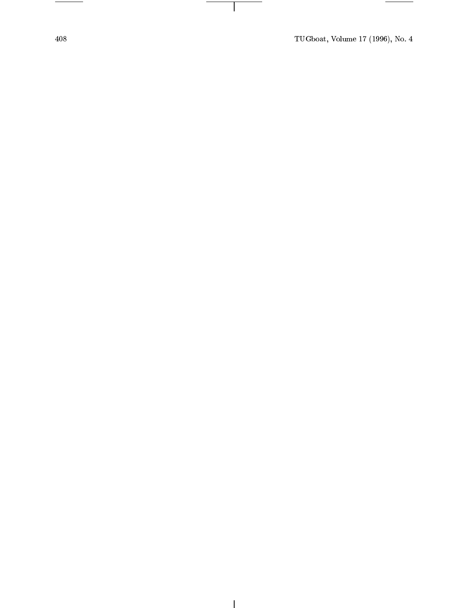408 TUGboat, Volume 17 (1996), No. 4

 $\begin{tabular}{l} \multicolumn{2}{c} {\textbf{1}} & \multicolumn{2}{c} {\textbf{1}} & \multicolumn{2}{c} {\textbf{1}} \\ \multicolumn{2}{c} {\textbf{1}} & \multicolumn{2}{c} {\textbf{1}} & \multicolumn{2}{c} {\textbf{1}} \\ \multicolumn{2}{c} {\textbf{1}} & \multicolumn{2}{c} {\textbf{1}} & \multicolumn{2}{c} {\textbf{1}} \\ \multicolumn{2}{c} {\textbf{1}} & \multicolumn{2}{c} {\textbf{1}} & \multicolumn{2}{c} {\textbf{1}} \\ \multicolumn{2}{c} {\textbf{1}} & \multicolumn$ 

 $\sim$  100  $\sim$ 

 $\top$ 

 $\overline{1}$ 

 $\frac{1}{\sqrt{2\pi}}\left( \frac{1}{\sqrt{2\pi}}\right) \left( \frac{1}{\sqrt{2\pi}}\right) \left( \frac{1}{\sqrt{2\pi}}\right) \left( \frac{1}{\sqrt{2\pi}}\right) \left( \frac{1}{\sqrt{2\pi}}\right) \left( \frac{1}{\sqrt{2\pi}}\right) \left( \frac{1}{\sqrt{2\pi}}\right) \left( \frac{1}{\sqrt{2\pi}}\right) \left( \frac{1}{\sqrt{2\pi}}\right) \left( \frac{1}{\sqrt{2\pi}}\right) \left( \frac{1}{\sqrt{2\pi}}\right) \left( \frac{1}{\sqrt$